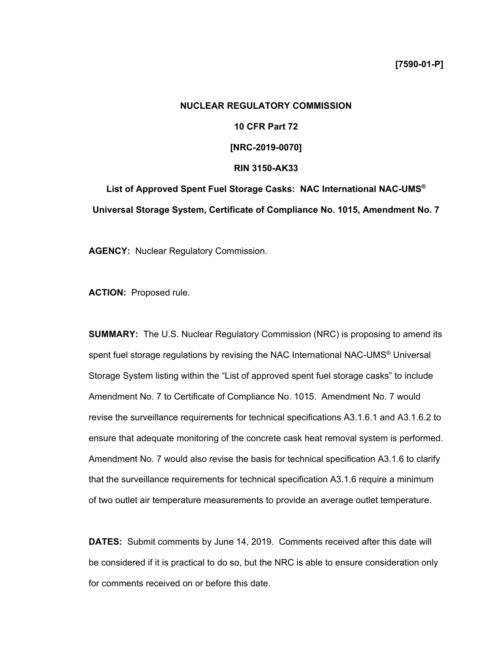# **NUCLEAR REGULATORY COMMISSION 10 CFR Part 72 [NRC-2019-0070] RIN 3150-AK33 List of Approved Spent Fuel Storage Casks: NAC International NAC-UMS®**

**Universal Storage System, Certificate of Compliance No. 1015, Amendment No. 7** 

**AGENCY:** Nuclear Regulatory Commission.

**ACTION:** Proposed rule.

**SUMMARY:** The U.S. Nuclear Regulatory Commission (NRC) is proposing to amend its spent fuel storage regulations by revising the NAC International NAC-UMS<sup>®</sup> Universal Storage System listing within the "List of approved spent fuel storage casks" to include Amendment No. 7 to Certificate of Compliance No. 1015. Amendment No. 7 would revise the surveillance requirements for technical specifications A3.1.6.1 and A3.1.6.2 to ensure that adequate monitoring of the concrete cask heat removal system is performed. Amendment No. 7 would also revise the basis for technical specification A3.1.6 to clarify that the surveillance requirements for technical specification A3.1.6 require a minimum of two outlet air temperature measurements to provide an average outlet temperature.

**DATES:** Submit comments by June 14, 2019. Comments received after this date will be considered if it is practical to do so, but the NRC is able to ensure consideration only for comments received on or before this date.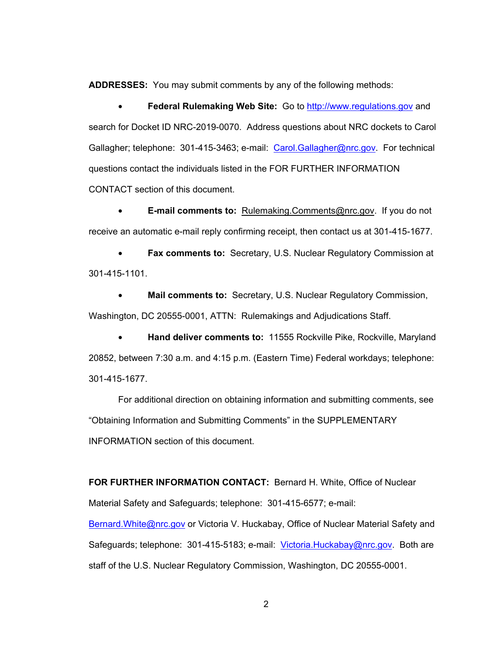**ADDRESSES:** You may submit comments by any of the following methods:

• **Federal Rulemaking Web Site:** Go to http://www.regulations.gov and search for Docket ID NRC-2019-0070. Address questions about NRC dockets to Carol Gallagher; telephone: 301-415-3463; e-mail: Carol.Gallagher@nrc.gov. For technical questions contact the individuals listed in the FOR FURTHER INFORMATION CONTACT section of this document.

• **E-mail comments to:** Rulemaking.Comments@nrc.gov.If you do not receive an automatic e-mail reply confirming receipt, then contact us at 301-415-1677.

• **Fax comments to:** Secretary, U.S. Nuclear Regulatory Commission at 301-415-1101.

• **Mail comments to:** Secretary, U.S. Nuclear Regulatory Commission, Washington, DC 20555-0001, ATTN: Rulemakings and Adjudications Staff.

• **Hand deliver comments to:** 11555 Rockville Pike, Rockville, Maryland 20852, between 7:30 a.m. and 4:15 p.m. (Eastern Time) Federal workdays; telephone: 301-415-1677.

For additional direction on obtaining information and submitting comments, see "Obtaining Information and Submitting Comments" in the SUPPLEMENTARY INFORMATION section of this document.

**FOR FURTHER INFORMATION CONTACT:** Bernard H. White, Office of Nuclear Material Safety and Safeguards; telephone: 301-415-6577; e-mail:

Bernard.White@nrc.gov or Victoria V. Huckabay, Office of Nuclear Material Safety and Safeguards; telephone: 301-415-5183; e-mail: Victoria. Huckabay@nrc.gov. Both are staff of the U.S. Nuclear Regulatory Commission, Washington, DC 20555-0001.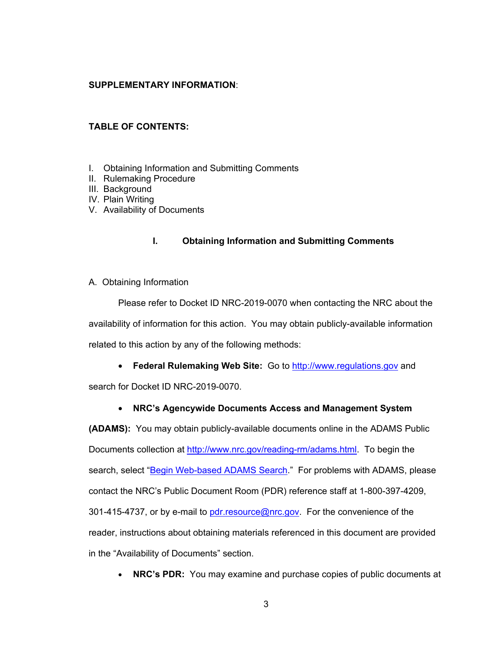## **SUPPLEMENTARY INFORMATION**:

# **TABLE OF CONTENTS:**

- I. Obtaining Information and Submitting Comments
- II. Rulemaking Procedure
- III. Background
- IV. Plain Writing
- V. Availability of Documents

# **I. Obtaining Information and Submitting Comments**

A. Obtaining Information

Please refer to Docket ID NRC-2019-0070 when contacting the NRC about the availability of information for this action. You may obtain publicly-available information related to this action by any of the following methods:

• **Federal Rulemaking Web Site:** Go to http://www.regulations.gov and search for Docket ID NRC-2019-0070.

# • **NRC's Agencywide Documents Access and Management System**

**(ADAMS):** You may obtain publicly-available documents online in the ADAMS Public Documents collection at http://www.nrc.gov/reading-rm/adams.html. To begin the search, select "Begin Web-based ADAMS Search." For problems with ADAMS, please contact the NRC's Public Document Room (PDR) reference staff at 1-800-397-4209, 301-415-4737, or by e-mail to pdr.resource@nrc.gov. For the convenience of the reader, instructions about obtaining materials referenced in this document are provided in the "Availability of Documents" section.

• **NRC's PDR:** You may examine and purchase copies of public documents at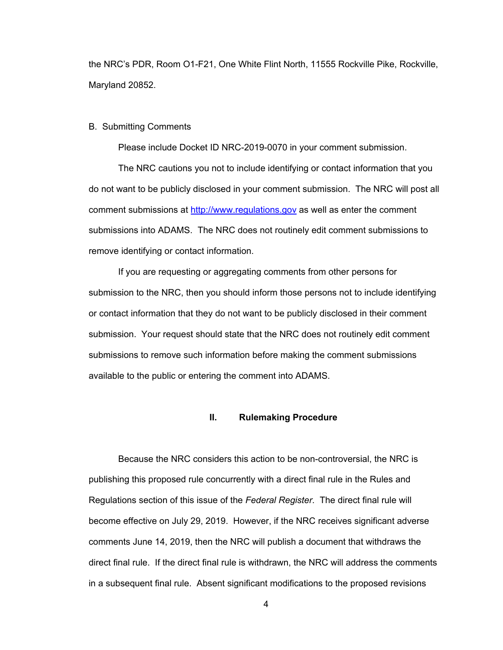the NRC's PDR, Room O1-F21, One White Flint North, 11555 Rockville Pike, Rockville, Maryland 20852.

#### B. Submitting Comments

Please include Docket ID NRC-2019-0070 in your comment submission.

The NRC cautions you not to include identifying or contact information that you do not want to be publicly disclosed in your comment submission. The NRC will post all comment submissions at http://www.regulations.gov as well as enter the comment submissions into ADAMS. The NRC does not routinely edit comment submissions to remove identifying or contact information.

If you are requesting or aggregating comments from other persons for submission to the NRC, then you should inform those persons not to include identifying or contact information that they do not want to be publicly disclosed in their comment submission. Your request should state that the NRC does not routinely edit comment submissions to remove such information before making the comment submissions available to the public or entering the comment into ADAMS.

#### **II. Rulemaking Procedure**

Because the NRC considers this action to be non-controversial, the NRC is publishing this proposed rule concurrently with a direct final rule in the Rules and Regulations section of this issue of the *Federal Register*. The direct final rule will become effective on July 29, 2019. However, if the NRC receives significant adverse comments June 14, 2019, then the NRC will publish a document that withdraws the direct final rule. If the direct final rule is withdrawn, the NRC will address the comments in a subsequent final rule. Absent significant modifications to the proposed revisions

4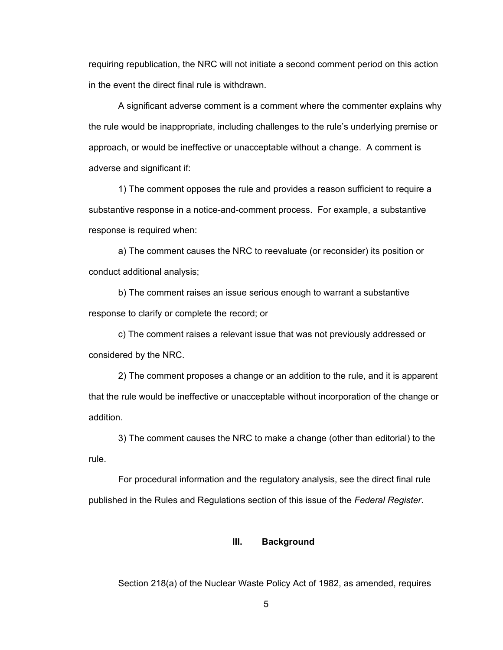requiring republication, the NRC will not initiate a second comment period on this action in the event the direct final rule is withdrawn.

A significant adverse comment is a comment where the commenter explains why the rule would be inappropriate, including challenges to the rule's underlying premise or approach, or would be ineffective or unacceptable without a change. A comment is adverse and significant if:

1) The comment opposes the rule and provides a reason sufficient to require a substantive response in a notice-and-comment process. For example, a substantive response is required when:

 a) The comment causes the NRC to reevaluate (or reconsider) its position or conduct additional analysis;

 b) The comment raises an issue serious enough to warrant a substantive response to clarify or complete the record; or

 c) The comment raises a relevant issue that was not previously addressed or considered by the NRC.

 2) The comment proposes a change or an addition to the rule, and it is apparent that the rule would be ineffective or unacceptable without incorporation of the change or addition.

 3) The comment causes the NRC to make a change (other than editorial) to the rule.

 For procedural information and the regulatory analysis, see the direct final rule published in the Rules and Regulations section of this issue of the *Federal Register*.

### **III. Background**

Section 218(a) of the Nuclear Waste Policy Act of 1982, as amended, requires

5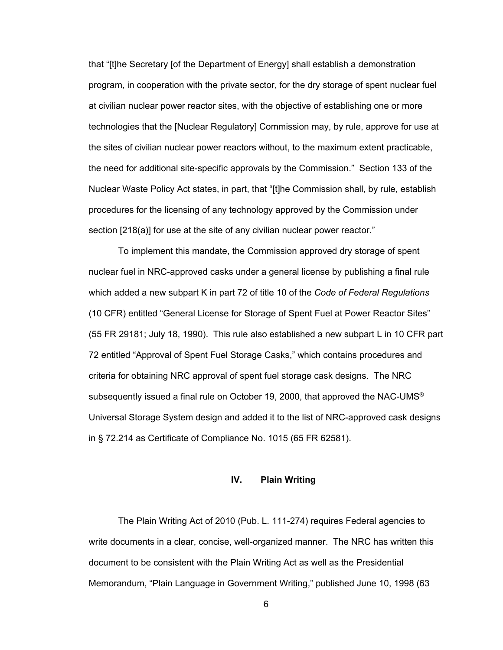that "[t]he Secretary [of the Department of Energy] shall establish a demonstration program, in cooperation with the private sector, for the dry storage of spent nuclear fuel at civilian nuclear power reactor sites, with the objective of establishing one or more technologies that the [Nuclear Regulatory] Commission may, by rule, approve for use at the sites of civilian nuclear power reactors without, to the maximum extent practicable, the need for additional site-specific approvals by the Commission." Section 133 of the Nuclear Waste Policy Act states, in part, that "[t]he Commission shall, by rule, establish procedures for the licensing of any technology approved by the Commission under section [218(a)] for use at the site of any civilian nuclear power reactor."

 To implement this mandate, the Commission approved dry storage of spent nuclear fuel in NRC-approved casks under a general license by publishing a final rule which added a new subpart K in part 72 of title 10 of the *Code of Federal Regulations* (10 CFR) entitled "General License for Storage of Spent Fuel at Power Reactor Sites" (55 FR 29181; July 18, 1990). This rule also established a new subpart L in 10 CFR part 72 entitled "Approval of Spent Fuel Storage Casks," which contains procedures and criteria for obtaining NRC approval of spent fuel storage cask designs. The NRC subsequently issued a final rule on October 19, 2000, that approved the NAC-UMS® Universal Storage System design and added it to the list of NRC-approved cask designs in § 72.214 as Certificate of Compliance No. 1015 (65 FR 62581).

#### **IV. Plain Writing**

 The Plain Writing Act of 2010 (Pub. L. 111-274) requires Federal agencies to write documents in a clear, concise, well-organized manner. The NRC has written this document to be consistent with the Plain Writing Act as well as the Presidential Memorandum, "Plain Language in Government Writing," published June 10, 1998 (63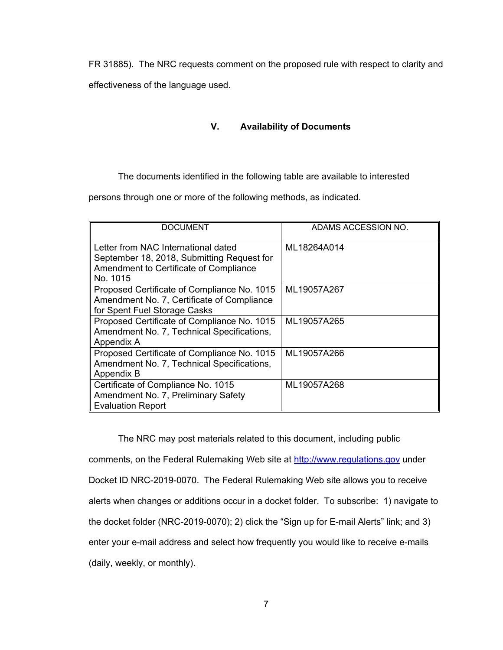FR 31885). The NRC requests comment on the proposed rule with respect to clarity and

effectiveness of the language used.

# **V. Availability of Documents**

The documents identified in the following table are available to interested

persons through one or more of the following methods, as indicated.

| <b>DOCUMENT</b>                                                                                                                         | ADAMS ACCESSION NO. |
|-----------------------------------------------------------------------------------------------------------------------------------------|---------------------|
| Letter from NAC International dated<br>September 18, 2018, Submitting Request for<br>Amendment to Certificate of Compliance<br>No. 1015 | ML18264A014         |
| Proposed Certificate of Compliance No. 1015<br>Amendment No. 7, Certificate of Compliance<br>for Spent Fuel Storage Casks               | ML19057A267         |
| Proposed Certificate of Compliance No. 1015<br>Amendment No. 7, Technical Specifications,<br>Appendix A                                 | ML19057A265         |
| Proposed Certificate of Compliance No. 1015<br>Amendment No. 7, Technical Specifications,<br>Appendix B                                 | ML19057A266         |
| Certificate of Compliance No. 1015<br>Amendment No. 7, Preliminary Safety<br><b>Evaluation Report</b>                                   | ML19057A268         |

The NRC may post materials related to this document, including public comments, on the Federal Rulemaking Web site at http://www.regulations.gov under Docket ID NRC-2019-0070. The Federal Rulemaking Web site allows you to receive alerts when changes or additions occur in a docket folder. To subscribe: 1) navigate to the docket folder (NRC-2019-0070); 2) click the "Sign up for E-mail Alerts" link; and 3) enter your e-mail address and select how frequently you would like to receive e-mails (daily, weekly, or monthly).